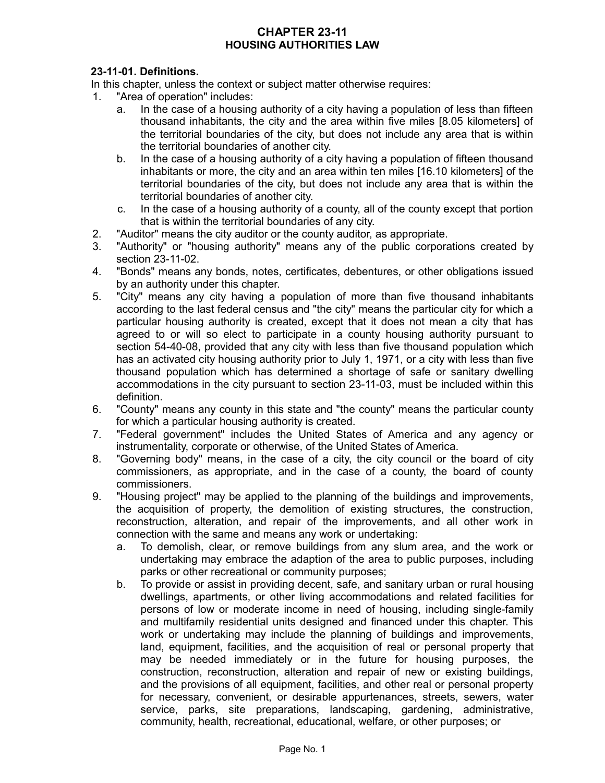# **CHAPTER 23-11 HOUSING AUTHORITIES LAW**

# **23-11-01. Definitions.**

In this chapter, unless the context or subject matter otherwise requires:

- 1. "Area of operation" includes:
	- a. In the case of a housing authority of a city having a population of less than fifteen thousand inhabitants, the city and the area within five miles [8.05 kilometers] of the territorial boundaries of the city, but does not include any area that is within the territorial boundaries of another city.
	- b. In the case of a housing authority of a city having a population of fifteen thousand inhabitants or more, the city and an area within ten miles [16.10 kilometers] of the territorial boundaries of the city, but does not include any area that is within the territorial boundaries of another city.
	- c. In the case of a housing authority of a county, all of the county except that portion that is within the territorial boundaries of any city.
- 2. "Auditor" means the city auditor or the county auditor, as appropriate.
- 3. "Authority" or "housing authority" means any of the public corporations created by section 23-11-02.
- 4. "Bonds" means any bonds, notes, certificates, debentures, or other obligations issued by an authority under this chapter.
- 5. "City" means any city having a population of more than five thousand inhabitants according to the last federal census and "the city" means the particular city for which a particular housing authority is created, except that it does not mean a city that has agreed to or will so elect to participate in a county housing authority pursuant to section 54-40-08, provided that any city with less than five thousand population which has an activated city housing authority prior to July 1, 1971, or a city with less than five thousand population which has determined a shortage of safe or sanitary dwelling accommodations in the city pursuant to section 23-11-03, must be included within this definition.
- 6. "County" means any county in this state and "the county" means the particular county for which a particular housing authority is created.
- 7. "Federal government" includes the United States of America and any agency or instrumentality, corporate or otherwise, of the United States of America.
- 8. "Governing body" means, in the case of a city, the city council or the board of city commissioners, as appropriate, and in the case of a county, the board of county commissioners.
- 9. "Housing project" may be applied to the planning of the buildings and improvements, the acquisition of property, the demolition of existing structures, the construction, reconstruction, alteration, and repair of the improvements, and all other work in connection with the same and means any work or undertaking:
	- a. To demolish, clear, or remove buildings from any slum area, and the work or undertaking may embrace the adaption of the area to public purposes, including parks or other recreational or community purposes;
	- b. To provide or assist in providing decent, safe, and sanitary urban or rural housing dwellings, apartments, or other living accommodations and related facilities for persons of low or moderate income in need of housing, including single-family and multifamily residential units designed and financed under this chapter. This work or undertaking may include the planning of buildings and improvements, land, equipment, facilities, and the acquisition of real or personal property that may be needed immediately or in the future for housing purposes, the construction, reconstruction, alteration and repair of new or existing buildings, and the provisions of all equipment, facilities, and other real or personal property for necessary, convenient, or desirable appurtenances, streets, sewers, water service, parks, site preparations, landscaping, gardening, administrative, community, health, recreational, educational, welfare, or other purposes; or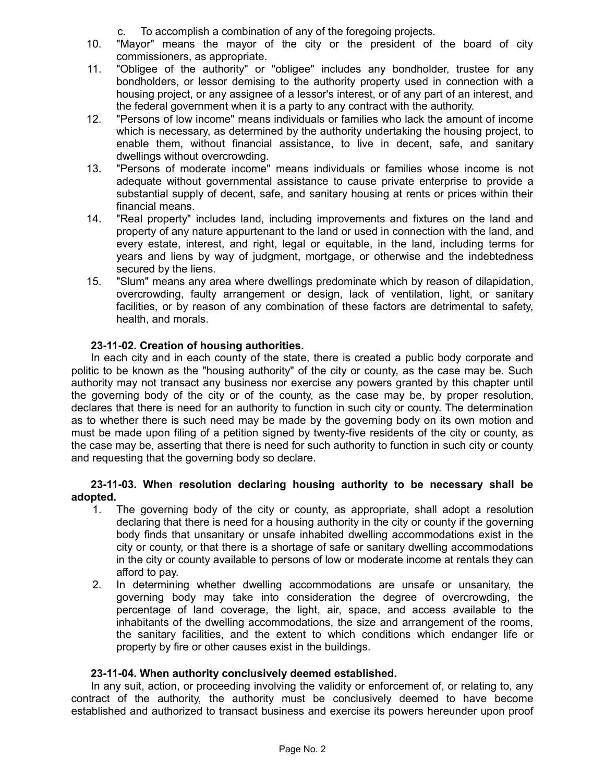c. To accomplish a combination of any of the foregoing projects.

- 10. "Mayor" means the mayor of the city or the president of the board of city commissioners, as appropriate.
- 11. "Obligee of the authority" or "obligee" includes any bondholder, trustee for any bondholders, or lessor demising to the authority property used in connection with a housing project, or any assignee of a lessor's interest, or of any part of an interest, and the federal government when it is a party to any contract with the authority.
- 12. "Persons of low income" means individuals or families who lack the amount of income which is necessary, as determined by the authority undertaking the housing project, to enable them, without financial assistance, to live in decent, safe, and sanitary dwellings without overcrowding.
- 13. "Persons of moderate income" means individuals or families whose income is not adequate without governmental assistance to cause private enterprise to provide a substantial supply of decent, safe, and sanitary housing at rents or prices within their financial means.
- 14. "Real property" includes land, including improvements and fixtures on the land and property of any nature appurtenant to the land or used in connection with the land, and every estate, interest, and right, legal or equitable, in the land, including terms for years and liens by way of judgment, mortgage, or otherwise and the indebtedness secured by the liens.
- 15. "Slum" means any area where dwellings predominate which by reason of dilapidation, overcrowding, faulty arrangement or design, lack of ventilation, light, or sanitary facilities, or by reason of any combination of these factors are detrimental to safety, health, and morals.

# **23-11-02. Creation of housing authorities.**

In each city and in each county of the state, there is created a public body corporate and politic to be known as the "housing authority" of the city or county, as the case may be. Such authority may not transact any business nor exercise any powers granted by this chapter until the governing body of the city or of the county, as the case may be, by proper resolution, declares that there is need for an authority to function in such city or county. The determination as to whether there is such need may be made by the governing body on its own motion and must be made upon filing of a petition signed by twenty-five residents of the city or county, as the case may be, asserting that there is need for such authority to function in such city or county and requesting that the governing body so declare.

# **23-11-03. When resolution declaring housing authority to be necessary shall be adopted.**

- 1. The governing body of the city or county, as appropriate, shall adopt a resolution declaring that there is need for a housing authority in the city or county if the governing body finds that unsanitary or unsafe inhabited dwelling accommodations exist in the city or county, or that there is a shortage of safe or sanitary dwelling accommodations in the city or county available to persons of low or moderate income at rentals they can afford to pay.
- 2. In determining whether dwelling accommodations are unsafe or unsanitary, the governing body may take into consideration the degree of overcrowding, the percentage of land coverage, the light, air, space, and access available to the inhabitants of the dwelling accommodations, the size and arrangement of the rooms, the sanitary facilities, and the extent to which conditions which endanger life or property by fire or other causes exist in the buildings.

# **23-11-04. When authority conclusively deemed established.**

In any suit, action, or proceeding involving the validity or enforcement of, or relating to, any contract of the authority, the authority must be conclusively deemed to have become established and authorized to transact business and exercise its powers hereunder upon proof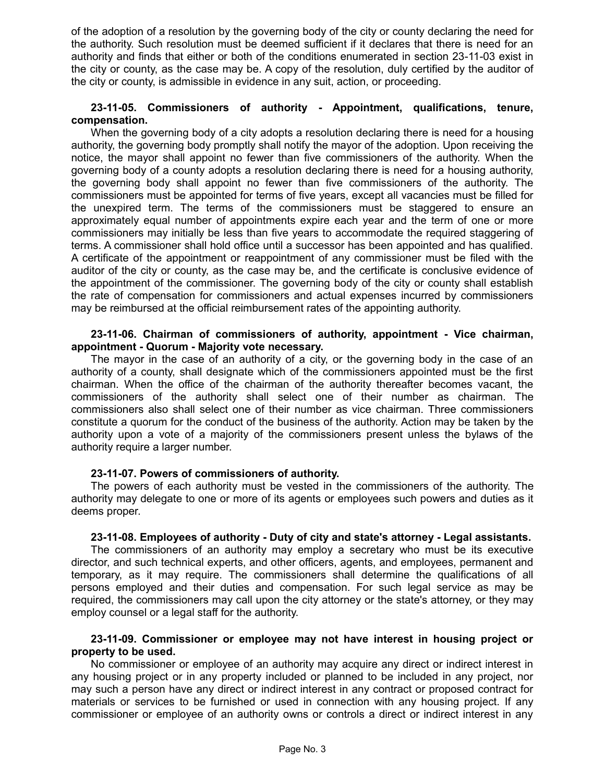of the adoption of a resolution by the governing body of the city or county declaring the need for the authority. Such resolution must be deemed sufficient if it declares that there is need for an authority and finds that either or both of the conditions enumerated in section 23-11-03 exist in the city or county, as the case may be. A copy of the resolution, duly certified by the auditor of the city or county, is admissible in evidence in any suit, action, or proceeding.

#### **23-11-05. Commissioners of authority - Appointment, qualifications, tenure, compensation.**

When the governing body of a city adopts a resolution declaring there is need for a housing authority, the governing body promptly shall notify the mayor of the adoption. Upon receiving the notice, the mayor shall appoint no fewer than five commissioners of the authority. When the governing body of a county adopts a resolution declaring there is need for a housing authority, the governing body shall appoint no fewer than five commissioners of the authority. The commissioners must be appointed for terms of five years, except all vacancies must be filled for the unexpired term. The terms of the commissioners must be staggered to ensure an approximately equal number of appointments expire each year and the term of one or more commissioners may initially be less than five years to accommodate the required staggering of terms. A commissioner shall hold office until a successor has been appointed and has qualified. A certificate of the appointment or reappointment of any commissioner must be filed with the auditor of the city or county, as the case may be, and the certificate is conclusive evidence of the appointment of the commissioner. The governing body of the city or county shall establish the rate of compensation for commissioners and actual expenses incurred by commissioners may be reimbursed at the official reimbursement rates of the appointing authority.

#### **23-11-06. Chairman of commissioners of authority, appointment - Vice chairman, appointment - Quorum - Majority vote necessary.**

The mayor in the case of an authority of a city, or the governing body in the case of an authority of a county, shall designate which of the commissioners appointed must be the first chairman. When the office of the chairman of the authority thereafter becomes vacant, the commissioners of the authority shall select one of their number as chairman. The commissioners also shall select one of their number as vice chairman. Three commissioners constitute a quorum for the conduct of the business of the authority. Action may be taken by the authority upon a vote of a majority of the commissioners present unless the bylaws of the authority require a larger number.

#### **23-11-07. Powers of commissioners of authority.**

The powers of each authority must be vested in the commissioners of the authority. The authority may delegate to one or more of its agents or employees such powers and duties as it deems proper.

#### **23-11-08. Employees of authority - Duty of city and state's attorney - Legal assistants.**

The commissioners of an authority may employ a secretary who must be its executive director, and such technical experts, and other officers, agents, and employees, permanent and temporary, as it may require. The commissioners shall determine the qualifications of all persons employed and their duties and compensation. For such legal service as may be required, the commissioners may call upon the city attorney or the state's attorney, or they may employ counsel or a legal staff for the authority.

## **23-11-09. Commissioner or employee may not have interest in housing project or property to be used.**

No commissioner or employee of an authority may acquire any direct or indirect interest in any housing project or in any property included or planned to be included in any project, nor may such a person have any direct or indirect interest in any contract or proposed contract for materials or services to be furnished or used in connection with any housing project. If any commissioner or employee of an authority owns or controls a direct or indirect interest in any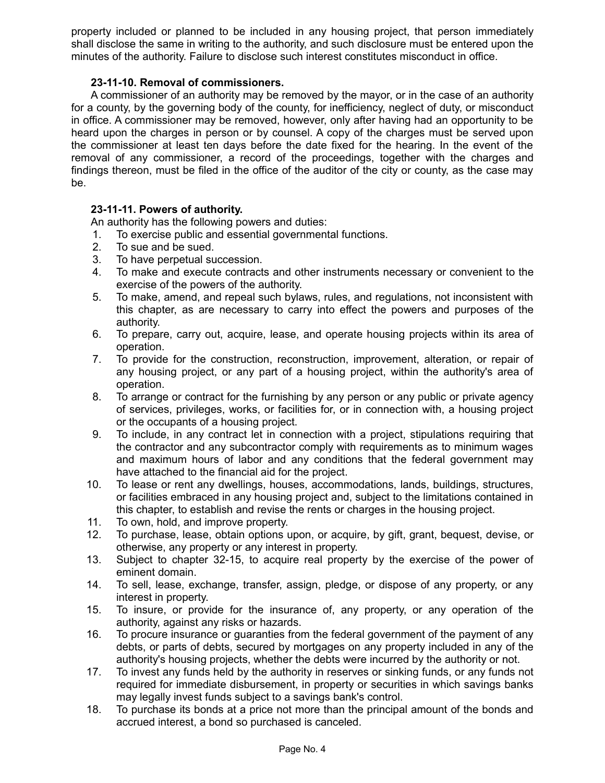property included or planned to be included in any housing project, that person immediately shall disclose the same in writing to the authority, and such disclosure must be entered upon the minutes of the authority. Failure to disclose such interest constitutes misconduct in office.

# **23-11-10. Removal of commissioners.**

A commissioner of an authority may be removed by the mayor, or in the case of an authority for a county, by the governing body of the county, for inefficiency, neglect of duty, or misconduct in office. A commissioner may be removed, however, only after having had an opportunity to be heard upon the charges in person or by counsel. A copy of the charges must be served upon the commissioner at least ten days before the date fixed for the hearing. In the event of the removal of any commissioner, a record of the proceedings, together with the charges and findings thereon, must be filed in the office of the auditor of the city or county, as the case may be.

## **23-11-11. Powers of authority.**

An authority has the following powers and duties:

- 1. To exercise public and essential governmental functions.
- 2. To sue and be sued.
- 3. To have perpetual succession.
- 4. To make and execute contracts and other instruments necessary or convenient to the exercise of the powers of the authority.
- 5. To make, amend, and repeal such bylaws, rules, and regulations, not inconsistent with this chapter, as are necessary to carry into effect the powers and purposes of the authority.
- 6. To prepare, carry out, acquire, lease, and operate housing projects within its area of operation.
- 7. To provide for the construction, reconstruction, improvement, alteration, or repair of any housing project, or any part of a housing project, within the authority's area of operation.
- 8. To arrange or contract for the furnishing by any person or any public or private agency of services, privileges, works, or facilities for, or in connection with, a housing project or the occupants of a housing project.
- 9. To include, in any contract let in connection with a project, stipulations requiring that the contractor and any subcontractor comply with requirements as to minimum wages and maximum hours of labor and any conditions that the federal government may have attached to the financial aid for the project.
- 10. To lease or rent any dwellings, houses, accommodations, lands, buildings, structures, or facilities embraced in any housing project and, subject to the limitations contained in this chapter, to establish and revise the rents or charges in the housing project.
- 11. To own, hold, and improve property.
- 12. To purchase, lease, obtain options upon, or acquire, by gift, grant, bequest, devise, or otherwise, any property or any interest in property.
- 13. Subject to chapter 32-15, to acquire real property by the exercise of the power of eminent domain.
- 14. To sell, lease, exchange, transfer, assign, pledge, or dispose of any property, or any interest in property.
- 15. To insure, or provide for the insurance of, any property, or any operation of the authority, against any risks or hazards.
- 16. To procure insurance or guaranties from the federal government of the payment of any debts, or parts of debts, secured by mortgages on any property included in any of the authority's housing projects, whether the debts were incurred by the authority or not.
- 17. To invest any funds held by the authority in reserves or sinking funds, or any funds not required for immediate disbursement, in property or securities in which savings banks may legally invest funds subject to a savings bank's control.
- 18. To purchase its bonds at a price not more than the principal amount of the bonds and accrued interest, a bond so purchased is canceled.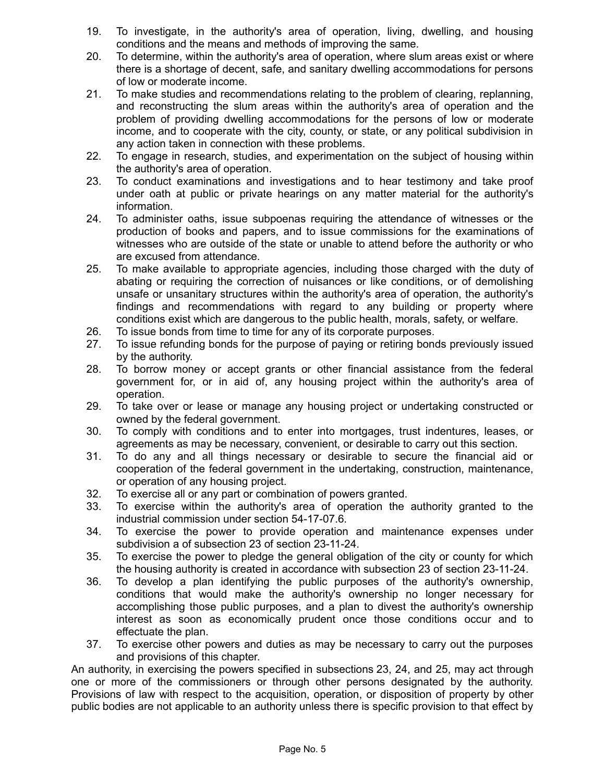- 19. To investigate, in the authority's area of operation, living, dwelling, and housing conditions and the means and methods of improving the same.
- 20. To determine, within the authority's area of operation, where slum areas exist or where there is a shortage of decent, safe, and sanitary dwelling accommodations for persons of low or moderate income.
- 21. To make studies and recommendations relating to the problem of clearing, replanning, and reconstructing the slum areas within the authority's area of operation and the problem of providing dwelling accommodations for the persons of low or moderate income, and to cooperate with the city, county, or state, or any political subdivision in any action taken in connection with these problems.
- 22. To engage in research, studies, and experimentation on the subject of housing within the authority's area of operation.
- 23. To conduct examinations and investigations and to hear testimony and take proof under oath at public or private hearings on any matter material for the authority's information.
- 24. To administer oaths, issue subpoenas requiring the attendance of witnesses or the production of books and papers, and to issue commissions for the examinations of witnesses who are outside of the state or unable to attend before the authority or who are excused from attendance.
- 25. To make available to appropriate agencies, including those charged with the duty of abating or requiring the correction of nuisances or like conditions, or of demolishing unsafe or unsanitary structures within the authority's area of operation, the authority's findings and recommendations with regard to any building or property where conditions exist which are dangerous to the public health, morals, safety, or welfare.
- 26. To issue bonds from time to time for any of its corporate purposes.
- 27. To issue refunding bonds for the purpose of paying or retiring bonds previously issued by the authority.
- 28. To borrow money or accept grants or other financial assistance from the federal government for, or in aid of, any housing project within the authority's area of operation.
- 29. To take over or lease or manage any housing project or undertaking constructed or owned by the federal government.
- 30. To comply with conditions and to enter into mortgages, trust indentures, leases, or agreements as may be necessary, convenient, or desirable to carry out this section.
- 31. To do any and all things necessary or desirable to secure the financial aid or cooperation of the federal government in the undertaking, construction, maintenance, or operation of any housing project.
- 32. To exercise all or any part or combination of powers granted.
- 33. To exercise within the authority's area of operation the authority granted to the industrial commission under section 54-17-07.6.
- 34. To exercise the power to provide operation and maintenance expenses under subdivision a of subsection 23 of section 23-11-24.
- 35. To exercise the power to pledge the general obligation of the city or county for which the housing authority is created in accordance with subsection 23 of section 23-11-24.
- 36. To develop a plan identifying the public purposes of the authority's ownership, conditions that would make the authority's ownership no longer necessary for accomplishing those public purposes, and a plan to divest the authority's ownership interest as soon as economically prudent once those conditions occur and to effectuate the plan.
- 37. To exercise other powers and duties as may be necessary to carry out the purposes and provisions of this chapter.

An authority, in exercising the powers specified in subsections 23, 24, and 25, may act through one or more of the commissioners or through other persons designated by the authority. Provisions of law with respect to the acquisition, operation, or disposition of property by other public bodies are not applicable to an authority unless there is specific provision to that effect by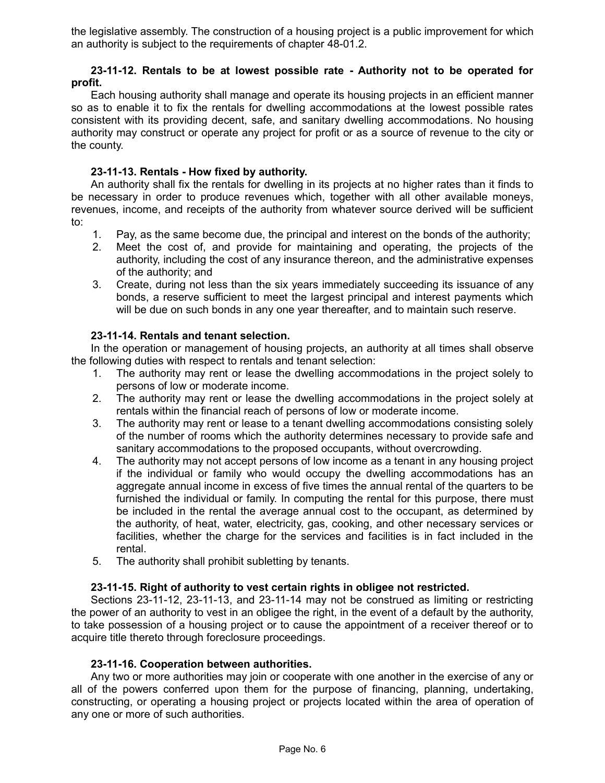the legislative assembly. The construction of a housing project is a public improvement for which an authority is subject to the requirements of chapter 48-01.2.

## **23-11-12. Rentals to be at lowest possible rate - Authority not to be operated for profit.**

Each housing authority shall manage and operate its housing projects in an efficient manner so as to enable it to fix the rentals for dwelling accommodations at the lowest possible rates consistent with its providing decent, safe, and sanitary dwelling accommodations. No housing authority may construct or operate any project for profit or as a source of revenue to the city or the county.

# **23-11-13. Rentals - How fixed by authority.**

An authority shall fix the rentals for dwelling in its projects at no higher rates than it finds to be necessary in order to produce revenues which, together with all other available moneys, revenues, income, and receipts of the authority from whatever source derived will be sufficient to:

- 1. Pay, as the same become due, the principal and interest on the bonds of the authority;
- 2. Meet the cost of, and provide for maintaining and operating, the projects of the authority, including the cost of any insurance thereon, and the administrative expenses of the authority; and
- 3. Create, during not less than the six years immediately succeeding its issuance of any bonds, a reserve sufficient to meet the largest principal and interest payments which will be due on such bonds in any one year thereafter, and to maintain such reserve.

## **23-11-14. Rentals and tenant selection.**

In the operation or management of housing projects, an authority at all times shall observe the following duties with respect to rentals and tenant selection:

- 1. The authority may rent or lease the dwelling accommodations in the project solely to persons of low or moderate income.
- 2. The authority may rent or lease the dwelling accommodations in the project solely at rentals within the financial reach of persons of low or moderate income.
- 3. The authority may rent or lease to a tenant dwelling accommodations consisting solely of the number of rooms which the authority determines necessary to provide safe and sanitary accommodations to the proposed occupants, without overcrowding.
- 4. The authority may not accept persons of low income as a tenant in any housing project if the individual or family who would occupy the dwelling accommodations has an aggregate annual income in excess of five times the annual rental of the quarters to be furnished the individual or family. In computing the rental for this purpose, there must be included in the rental the average annual cost to the occupant, as determined by the authority, of heat, water, electricity, gas, cooking, and other necessary services or facilities, whether the charge for the services and facilities is in fact included in the rental.
- 5. The authority shall prohibit subletting by tenants.

#### **23-11-15. Right of authority to vest certain rights in obligee not restricted.**

Sections 23-11-12, 23-11-13, and 23-11-14 may not be construed as limiting or restricting the power of an authority to vest in an obligee the right, in the event of a default by the authority, to take possession of a housing project or to cause the appointment of a receiver thereof or to acquire title thereto through foreclosure proceedings.

#### **23-11-16. Cooperation between authorities.**

Any two or more authorities may join or cooperate with one another in the exercise of any or all of the powers conferred upon them for the purpose of financing, planning, undertaking, constructing, or operating a housing project or projects located within the area of operation of any one or more of such authorities.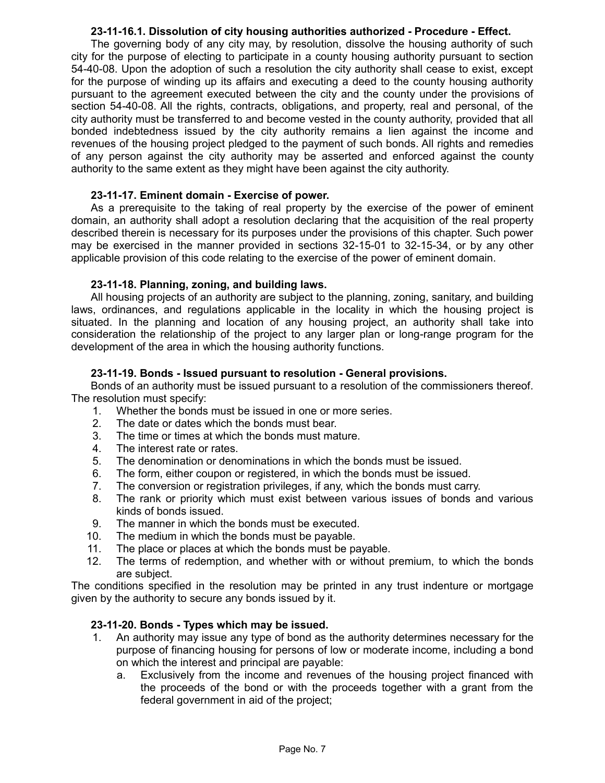## **23-11-16.1. Dissolution of city housing authorities authorized - Procedure - Effect.**

The governing body of any city may, by resolution, dissolve the housing authority of such city for the purpose of electing to participate in a county housing authority pursuant to section 54-40-08. Upon the adoption of such a resolution the city authority shall cease to exist, except for the purpose of winding up its affairs and executing a deed to the county housing authority pursuant to the agreement executed between the city and the county under the provisions of section 54-40-08. All the rights, contracts, obligations, and property, real and personal, of the city authority must be transferred to and become vested in the county authority, provided that all bonded indebtedness issued by the city authority remains a lien against the income and revenues of the housing project pledged to the payment of such bonds. All rights and remedies of any person against the city authority may be asserted and enforced against the county authority to the same extent as they might have been against the city authority.

## **23-11-17. Eminent domain - Exercise of power.**

As a prerequisite to the taking of real property by the exercise of the power of eminent domain, an authority shall adopt a resolution declaring that the acquisition of the real property described therein is necessary for its purposes under the provisions of this chapter. Such power may be exercised in the manner provided in sections 32-15-01 to 32-15-34, or by any other applicable provision of this code relating to the exercise of the power of eminent domain.

## **23-11-18. Planning, zoning, and building laws.**

All housing projects of an authority are subject to the planning, zoning, sanitary, and building laws, ordinances, and regulations applicable in the locality in which the housing project is situated. In the planning and location of any housing project, an authority shall take into consideration the relationship of the project to any larger plan or long-range program for the development of the area in which the housing authority functions.

## **23-11-19. Bonds - Issued pursuant to resolution - General provisions.**

Bonds of an authority must be issued pursuant to a resolution of the commissioners thereof. The resolution must specify:

- 1. Whether the bonds must be issued in one or more series.
- 2. The date or dates which the bonds must bear.
- 3. The time or times at which the bonds must mature.
- 4. The interest rate or rates.
- 5. The denomination or denominations in which the bonds must be issued.
- 6. The form, either coupon or registered, in which the bonds must be issued.
- 7. The conversion or registration privileges, if any, which the bonds must carry.
- 8. The rank or priority which must exist between various issues of bonds and various kinds of bonds issued.
- 9. The manner in which the bonds must be executed.
- 10. The medium in which the bonds must be payable.
- 11. The place or places at which the bonds must be payable.
- 12. The terms of redemption, and whether with or without premium, to which the bonds are subject.

The conditions specified in the resolution may be printed in any trust indenture or mortgage given by the authority to secure any bonds issued by it.

# **23-11-20. Bonds - Types which may be issued.**

- 1. An authority may issue any type of bond as the authority determines necessary for the purpose of financing housing for persons of low or moderate income, including a bond on which the interest and principal are payable:
	- a. Exclusively from the income and revenues of the housing project financed with the proceeds of the bond or with the proceeds together with a grant from the federal government in aid of the project;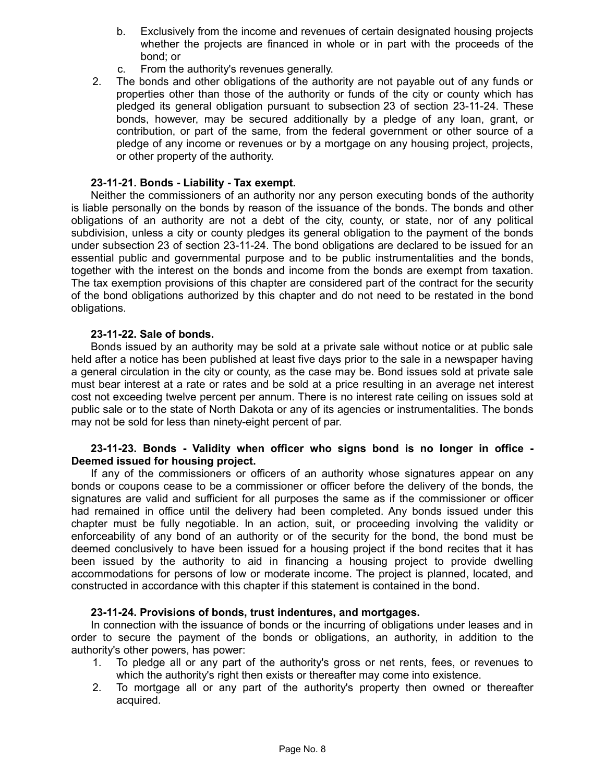- b. Exclusively from the income and revenues of certain designated housing projects whether the projects are financed in whole or in part with the proceeds of the bond; or
- c. From the authority's revenues generally.
- 2. The bonds and other obligations of the authority are not payable out of any funds or properties other than those of the authority or funds of the city or county which has pledged its general obligation pursuant to subsection 23 of section 23-11-24. These bonds, however, may be secured additionally by a pledge of any loan, grant, or contribution, or part of the same, from the federal government or other source of a pledge of any income or revenues or by a mortgage on any housing project, projects, or other property of the authority.

# **23-11-21. Bonds - Liability - Tax exempt.**

Neither the commissioners of an authority nor any person executing bonds of the authority is liable personally on the bonds by reason of the issuance of the bonds. The bonds and other obligations of an authority are not a debt of the city, county, or state, nor of any political subdivision, unless a city or county pledges its general obligation to the payment of the bonds under subsection 23 of section 23-11-24. The bond obligations are declared to be issued for an essential public and governmental purpose and to be public instrumentalities and the bonds, together with the interest on the bonds and income from the bonds are exempt from taxation. The tax exemption provisions of this chapter are considered part of the contract for the security of the bond obligations authorized by this chapter and do not need to be restated in the bond obligations.

## **23-11-22. Sale of bonds.**

Bonds issued by an authority may be sold at a private sale without notice or at public sale held after a notice has been published at least five days prior to the sale in a newspaper having a general circulation in the city or county, as the case may be. Bond issues sold at private sale must bear interest at a rate or rates and be sold at a price resulting in an average net interest cost not exceeding twelve percent per annum. There is no interest rate ceiling on issues sold at public sale or to the state of North Dakota or any of its agencies or instrumentalities. The bonds may not be sold for less than ninety-eight percent of par.

## **23-11-23. Bonds - Validity when officer who signs bond is no longer in office - Deemed issued for housing project.**

If any of the commissioners or officers of an authority whose signatures appear on any bonds or coupons cease to be a commissioner or officer before the delivery of the bonds, the signatures are valid and sufficient for all purposes the same as if the commissioner or officer had remained in office until the delivery had been completed. Any bonds issued under this chapter must be fully negotiable. In an action, suit, or proceeding involving the validity or enforceability of any bond of an authority or of the security for the bond, the bond must be deemed conclusively to have been issued for a housing project if the bond recites that it has been issued by the authority to aid in financing a housing project to provide dwelling accommodations for persons of low or moderate income. The project is planned, located, and constructed in accordance with this chapter if this statement is contained in the bond.

#### **23-11-24. Provisions of bonds, trust indentures, and mortgages.**

In connection with the issuance of bonds or the incurring of obligations under leases and in order to secure the payment of the bonds or obligations, an authority, in addition to the authority's other powers, has power:

- 1. To pledge all or any part of the authority's gross or net rents, fees, or revenues to which the authority's right then exists or thereafter may come into existence.
- 2. To mortgage all or any part of the authority's property then owned or thereafter acquired.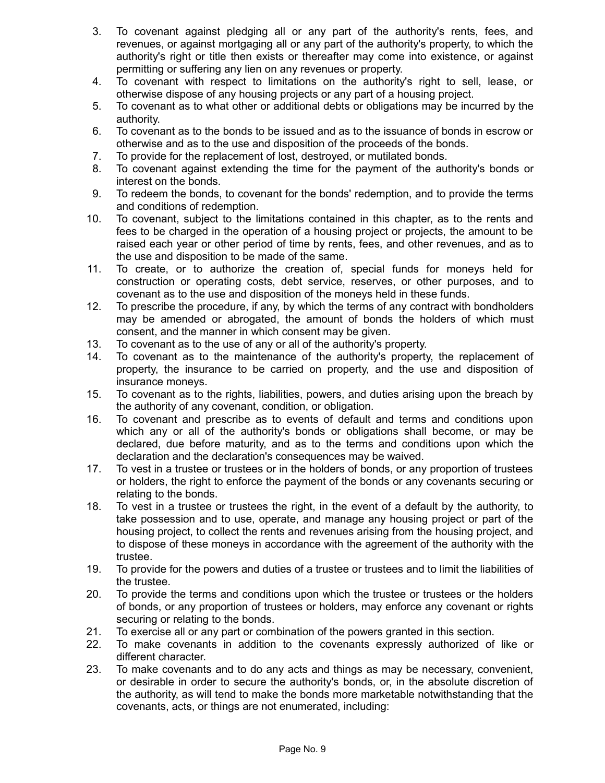- 3. To covenant against pledging all or any part of the authority's rents, fees, and revenues, or against mortgaging all or any part of the authority's property, to which the authority's right or title then exists or thereafter may come into existence, or against permitting or suffering any lien on any revenues or property.
- 4. To covenant with respect to limitations on the authority's right to sell, lease, or otherwise dispose of any housing projects or any part of a housing project.
- 5. To covenant as to what other or additional debts or obligations may be incurred by the authority.
- 6. To covenant as to the bonds to be issued and as to the issuance of bonds in escrow or otherwise and as to the use and disposition of the proceeds of the bonds.
- 7. To provide for the replacement of lost, destroyed, or mutilated bonds.
- 8. To covenant against extending the time for the payment of the authority's bonds or interest on the bonds.
- 9. To redeem the bonds, to covenant for the bonds' redemption, and to provide the terms and conditions of redemption.
- 10. To covenant, subject to the limitations contained in this chapter, as to the rents and fees to be charged in the operation of a housing project or projects, the amount to be raised each year or other period of time by rents, fees, and other revenues, and as to the use and disposition to be made of the same.
- 11. To create, or to authorize the creation of, special funds for moneys held for construction or operating costs, debt service, reserves, or other purposes, and to covenant as to the use and disposition of the moneys held in these funds.
- 12. To prescribe the procedure, if any, by which the terms of any contract with bondholders may be amended or abrogated, the amount of bonds the holders of which must consent, and the manner in which consent may be given.
- 13. To covenant as to the use of any or all of the authority's property.
- 14. To covenant as to the maintenance of the authority's property, the replacement of property, the insurance to be carried on property, and the use and disposition of insurance moneys.
- 15. To covenant as to the rights, liabilities, powers, and duties arising upon the breach by the authority of any covenant, condition, or obligation.
- 16. To covenant and prescribe as to events of default and terms and conditions upon which any or all of the authority's bonds or obligations shall become, or may be declared, due before maturity, and as to the terms and conditions upon which the declaration and the declaration's consequences may be waived.
- 17. To vest in a trustee or trustees or in the holders of bonds, or any proportion of trustees or holders, the right to enforce the payment of the bonds or any covenants securing or relating to the bonds.
- 18. To vest in a trustee or trustees the right, in the event of a default by the authority, to take possession and to use, operate, and manage any housing project or part of the housing project, to collect the rents and revenues arising from the housing project, and to dispose of these moneys in accordance with the agreement of the authority with the trustee.
- 19. To provide for the powers and duties of a trustee or trustees and to limit the liabilities of the trustee.
- 20. To provide the terms and conditions upon which the trustee or trustees or the holders of bonds, or any proportion of trustees or holders, may enforce any covenant or rights securing or relating to the bonds.
- 21. To exercise all or any part or combination of the powers granted in this section.
- 22. To make covenants in addition to the covenants expressly authorized of like or different character.
- 23. To make covenants and to do any acts and things as may be necessary, convenient, or desirable in order to secure the authority's bonds, or, in the absolute discretion of the authority, as will tend to make the bonds more marketable notwithstanding that the covenants, acts, or things are not enumerated, including: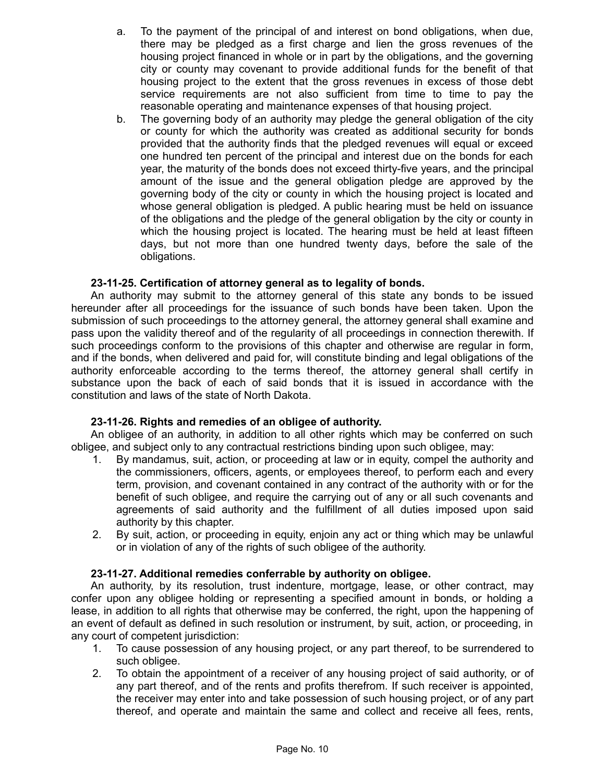- a. To the payment of the principal of and interest on bond obligations, when due, there may be pledged as a first charge and lien the gross revenues of the housing project financed in whole or in part by the obligations, and the governing city or county may covenant to provide additional funds for the benefit of that housing project to the extent that the gross revenues in excess of those debt service requirements are not also sufficient from time to time to pay the reasonable operating and maintenance expenses of that housing project.
- b. The governing body of an authority may pledge the general obligation of the city or county for which the authority was created as additional security for bonds provided that the authority finds that the pledged revenues will equal or exceed one hundred ten percent of the principal and interest due on the bonds for each year, the maturity of the bonds does not exceed thirty-five years, and the principal amount of the issue and the general obligation pledge are approved by the governing body of the city or county in which the housing project is located and whose general obligation is pledged. A public hearing must be held on issuance of the obligations and the pledge of the general obligation by the city or county in which the housing project is located. The hearing must be held at least fifteen days, but not more than one hundred twenty days, before the sale of the obligations.

# **23-11-25. Certification of attorney general as to legality of bonds.**

An authority may submit to the attorney general of this state any bonds to be issued hereunder after all proceedings for the issuance of such bonds have been taken. Upon the submission of such proceedings to the attorney general, the attorney general shall examine and pass upon the validity thereof and of the regularity of all proceedings in connection therewith. If such proceedings conform to the provisions of this chapter and otherwise are regular in form, and if the bonds, when delivered and paid for, will constitute binding and legal obligations of the authority enforceable according to the terms thereof, the attorney general shall certify in substance upon the back of each of said bonds that it is issued in accordance with the constitution and laws of the state of North Dakota.

# **23-11-26. Rights and remedies of an obligee of authority.**

An obligee of an authority, in addition to all other rights which may be conferred on such obligee, and subject only to any contractual restrictions binding upon such obligee, may:

- 1. By mandamus, suit, action, or proceeding at law or in equity, compel the authority and the commissioners, officers, agents, or employees thereof, to perform each and every term, provision, and covenant contained in any contract of the authority with or for the benefit of such obligee, and require the carrying out of any or all such covenants and agreements of said authority and the fulfillment of all duties imposed upon said authority by this chapter.
- 2. By suit, action, or proceeding in equity, enjoin any act or thing which may be unlawful or in violation of any of the rights of such obligee of the authority.

# **23-11-27. Additional remedies conferrable by authority on obligee.**

An authority, by its resolution, trust indenture, mortgage, lease, or other contract, may confer upon any obligee holding or representing a specified amount in bonds, or holding a lease, in addition to all rights that otherwise may be conferred, the right, upon the happening of an event of default as defined in such resolution or instrument, by suit, action, or proceeding, in any court of competent jurisdiction:

- 1. To cause possession of any housing project, or any part thereof, to be surrendered to such obligee.
- 2. To obtain the appointment of a receiver of any housing project of said authority, or of any part thereof, and of the rents and profits therefrom. If such receiver is appointed, the receiver may enter into and take possession of such housing project, or of any part thereof, and operate and maintain the same and collect and receive all fees, rents,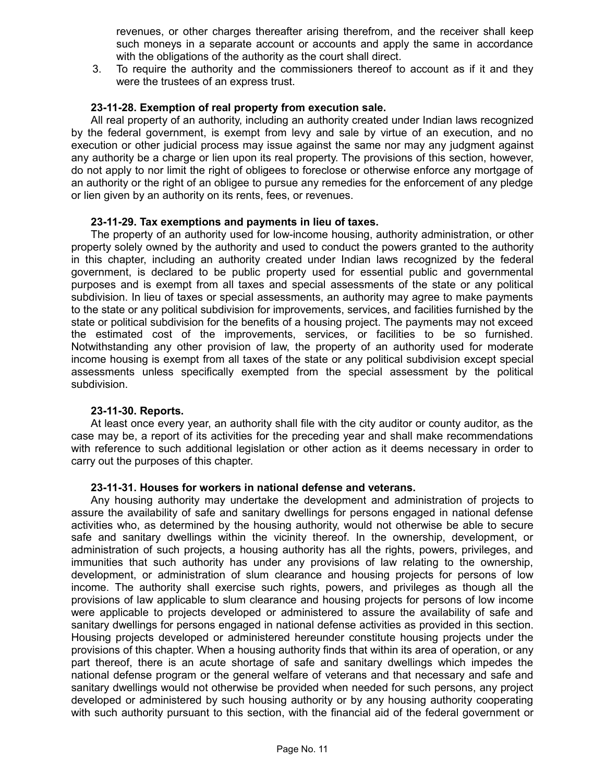revenues, or other charges thereafter arising therefrom, and the receiver shall keep such moneys in a separate account or accounts and apply the same in accordance with the obligations of the authority as the court shall direct.

3. To require the authority and the commissioners thereof to account as if it and they were the trustees of an express trust.

## **23-11-28. Exemption of real property from execution sale.**

All real property of an authority, including an authority created under Indian laws recognized by the federal government, is exempt from levy and sale by virtue of an execution, and no execution or other judicial process may issue against the same nor may any judgment against any authority be a charge or lien upon its real property. The provisions of this section, however, do not apply to nor limit the right of obligees to foreclose or otherwise enforce any mortgage of an authority or the right of an obligee to pursue any remedies for the enforcement of any pledge or lien given by an authority on its rents, fees, or revenues.

#### **23-11-29. Tax exemptions and payments in lieu of taxes.**

The property of an authority used for low-income housing, authority administration, or other property solely owned by the authority and used to conduct the powers granted to the authority in this chapter, including an authority created under Indian laws recognized by the federal government, is declared to be public property used for essential public and governmental purposes and is exempt from all taxes and special assessments of the state or any political subdivision. In lieu of taxes or special assessments, an authority may agree to make payments to the state or any political subdivision for improvements, services, and facilities furnished by the state or political subdivision for the benefits of a housing project. The payments may not exceed the estimated cost of the improvements, services, or facilities to be so furnished. Notwithstanding any other provision of law, the property of an authority used for moderate income housing is exempt from all taxes of the state or any political subdivision except special assessments unless specifically exempted from the special assessment by the political subdivision.

#### **23-11-30. Reports.**

At least once every year, an authority shall file with the city auditor or county auditor, as the case may be, a report of its activities for the preceding year and shall make recommendations with reference to such additional legislation or other action as it deems necessary in order to carry out the purposes of this chapter.

#### **23-11-31. Houses for workers in national defense and veterans.**

Any housing authority may undertake the development and administration of projects to assure the availability of safe and sanitary dwellings for persons engaged in national defense activities who, as determined by the housing authority, would not otherwise be able to secure safe and sanitary dwellings within the vicinity thereof. In the ownership, development, or administration of such projects, a housing authority has all the rights, powers, privileges, and immunities that such authority has under any provisions of law relating to the ownership, development, or administration of slum clearance and housing projects for persons of low income. The authority shall exercise such rights, powers, and privileges as though all the provisions of law applicable to slum clearance and housing projects for persons of low income were applicable to projects developed or administered to assure the availability of safe and sanitary dwellings for persons engaged in national defense activities as provided in this section. Housing projects developed or administered hereunder constitute housing projects under the provisions of this chapter. When a housing authority finds that within its area of operation, or any part thereof, there is an acute shortage of safe and sanitary dwellings which impedes the national defense program or the general welfare of veterans and that necessary and safe and sanitary dwellings would not otherwise be provided when needed for such persons, any project developed or administered by such housing authority or by any housing authority cooperating with such authority pursuant to this section, with the financial aid of the federal government or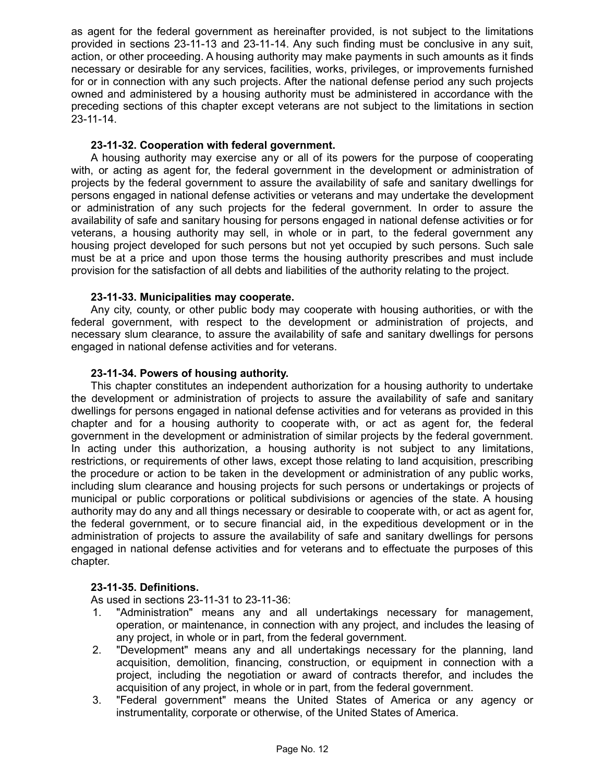as agent for the federal government as hereinafter provided, is not subject to the limitations provided in sections 23-11-13 and 23-11-14. Any such finding must be conclusive in any suit, action, or other proceeding. A housing authority may make payments in such amounts as it finds necessary or desirable for any services, facilities, works, privileges, or improvements furnished for or in connection with any such projects. After the national defense period any such projects owned and administered by a housing authority must be administered in accordance with the preceding sections of this chapter except veterans are not subject to the limitations in section 23-11-14.

# **23-11-32. Cooperation with federal government.**

A housing authority may exercise any or all of its powers for the purpose of cooperating with, or acting as agent for, the federal government in the development or administration of projects by the federal government to assure the availability of safe and sanitary dwellings for persons engaged in national defense activities or veterans and may undertake the development or administration of any such projects for the federal government. In order to assure the availability of safe and sanitary housing for persons engaged in national defense activities or for veterans, a housing authority may sell, in whole or in part, to the federal government any housing project developed for such persons but not yet occupied by such persons. Such sale must be at a price and upon those terms the housing authority prescribes and must include provision for the satisfaction of all debts and liabilities of the authority relating to the project.

## **23-11-33. Municipalities may cooperate.**

Any city, county, or other public body may cooperate with housing authorities, or with the federal government, with respect to the development or administration of projects, and necessary slum clearance, to assure the availability of safe and sanitary dwellings for persons engaged in national defense activities and for veterans.

## **23-11-34. Powers of housing authority.**

This chapter constitutes an independent authorization for a housing authority to undertake the development or administration of projects to assure the availability of safe and sanitary dwellings for persons engaged in national defense activities and for veterans as provided in this chapter and for a housing authority to cooperate with, or act as agent for, the federal government in the development or administration of similar projects by the federal government. In acting under this authorization, a housing authority is not subject to any limitations, restrictions, or requirements of other laws, except those relating to land acquisition, prescribing the procedure or action to be taken in the development or administration of any public works, including slum clearance and housing projects for such persons or undertakings or projects of municipal or public corporations or political subdivisions or agencies of the state. A housing authority may do any and all things necessary or desirable to cooperate with, or act as agent for, the federal government, or to secure financial aid, in the expeditious development or in the administration of projects to assure the availability of safe and sanitary dwellings for persons engaged in national defense activities and for veterans and to effectuate the purposes of this chapter.

#### **23-11-35. Definitions.**

As used in sections 23-11-31 to 23-11-36:

- 1. "Administration" means any and all undertakings necessary for management, operation, or maintenance, in connection with any project, and includes the leasing of any project, in whole or in part, from the federal government.
- 2. "Development" means any and all undertakings necessary for the planning, land acquisition, demolition, financing, construction, or equipment in connection with a project, including the negotiation or award of contracts therefor, and includes the acquisition of any project, in whole or in part, from the federal government.
- 3. "Federal government" means the United States of America or any agency or instrumentality, corporate or otherwise, of the United States of America.